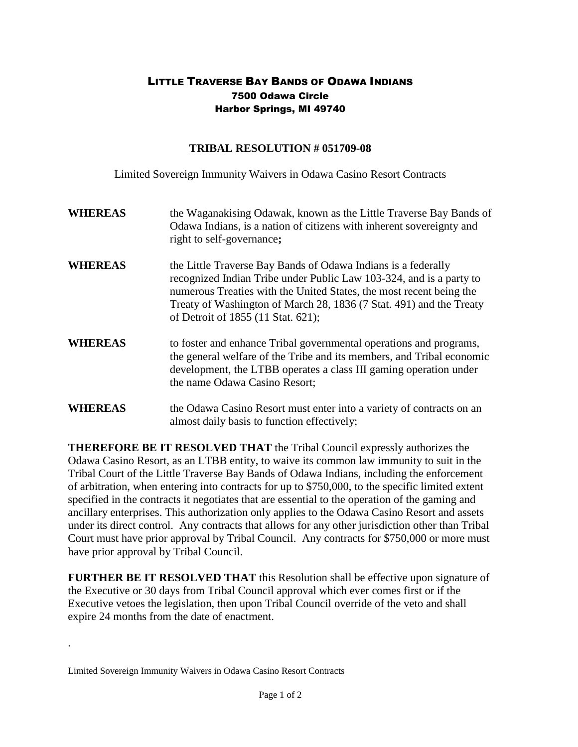## LITTLE TRAVERSE BAY BANDS OF ODAWA INDIANS 7500 Odawa Circle Harbor Springs, MI 49740

## **TRIBAL RESOLUTION # 051709-08**

Limited Sovereign Immunity Waivers in Odawa Casino Resort Contracts

**WHEREAS** the Waganakising Odawak, known as the Little Traverse Bay Bands of Odawa Indians, is a nation of citizens with inherent sovereignty and right to self-governance**; WHEREAS** the Little Traverse Bay Bands of Odawa Indians is a federally recognized Indian Tribe under Public Law 103-324, and is a party to numerous Treaties with the United States, the most recent being the Treaty of Washington of March 28, 1836 (7 Stat. 491) and the Treaty of Detroit of 1855 (11 Stat. 621); **WHEREAS** to foster and enhance Tribal governmental operations and programs, the general welfare of the Tribe and its members, and Tribal economic development, the LTBB operates a class III gaming operation under the name Odawa Casino Resort; **WHEREAS** the Odawa Casino Resort must enter into a variety of contracts on an almost daily basis to function effectively;

**THEREFORE BE IT RESOLVED THAT** the Tribal Council expressly authorizes the Odawa Casino Resort, as an LTBB entity, to waive its common law immunity to suit in the Tribal Court of the Little Traverse Bay Bands of Odawa Indians, including the enforcement of arbitration, when entering into contracts for up to \$750,000, to the specific limited extent specified in the contracts it negotiates that are essential to the operation of the gaming and ancillary enterprises. This authorization only applies to the Odawa Casino Resort and assets under its direct control. Any contracts that allows for any other jurisdiction other than Tribal Court must have prior approval by Tribal Council. Any contracts for \$750,000 or more must have prior approval by Tribal Council.

**FURTHER BE IT RESOLVED THAT** this Resolution shall be effective upon signature of the Executive or 30 days from Tribal Council approval which ever comes first or if the Executive vetoes the legislation, then upon Tribal Council override of the veto and shall expire 24 months from the date of enactment.

.